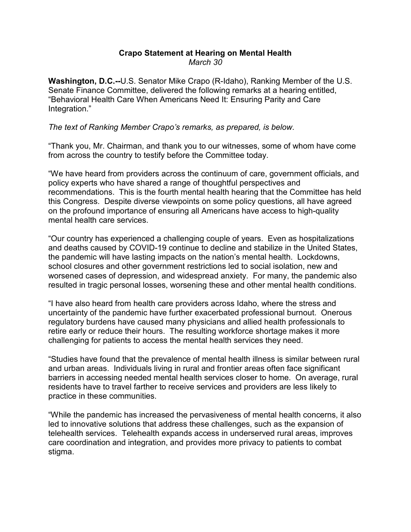## **Crapo Statement at Hearing on Mental Health** *March 30*

**Washington, D.C.--**U.S. Senator Mike Crapo (R-Idaho), Ranking Member of the U.S. Senate Finance Committee, delivered the following remarks at a hearing entitled, "Behavioral Health Care When Americans Need It: Ensuring Parity and Care Integration."

## *The text of Ranking Member Crapo's remarks, as prepared, is below.*

"Thank you, Mr. Chairman, and thank you to our witnesses, some of whom have come from across the country to testify before the Committee today.

"We have heard from providers across the continuum of care, government officials, and policy experts who have shared a range of thoughtful perspectives and recommendations. This is the fourth mental health hearing that the Committee has held this Congress. Despite diverse viewpoints on some policy questions, all have agreed on the profound importance of ensuring all Americans have access to high-quality mental health care services.

"Our country has experienced a challenging couple of years. Even as hospitalizations and deaths caused by COVID-19 continue to decline and stabilize in the United States, the pandemic will have lasting impacts on the nation's mental health. Lockdowns, school closures and other government restrictions led to social isolation, new and worsened cases of depression, and widespread anxiety. For many, the pandemic also resulted in tragic personal losses, worsening these and other mental health conditions.

"I have also heard from health care providers across Idaho, where the stress and uncertainty of the pandemic have further exacerbated professional burnout. Onerous regulatory burdens have caused many physicians and allied health professionals to retire early or reduce their hours. The resulting workforce shortage makes it more challenging for patients to access the mental health services they need.

"Studies have found that the prevalence of mental health illness is similar between rural and urban areas. Individuals living in rural and frontier areas often face significant barriers in accessing needed mental health services closer to home. On average, rural residents have to travel farther to receive services and providers are less likely to practice in these communities.

"While the pandemic has increased the pervasiveness of mental health concerns, it also led to innovative solutions that address these challenges, such as the expansion of telehealth services. Telehealth expands access in underserved rural areas, improves care coordination and integration, and provides more privacy to patients to combat stigma.